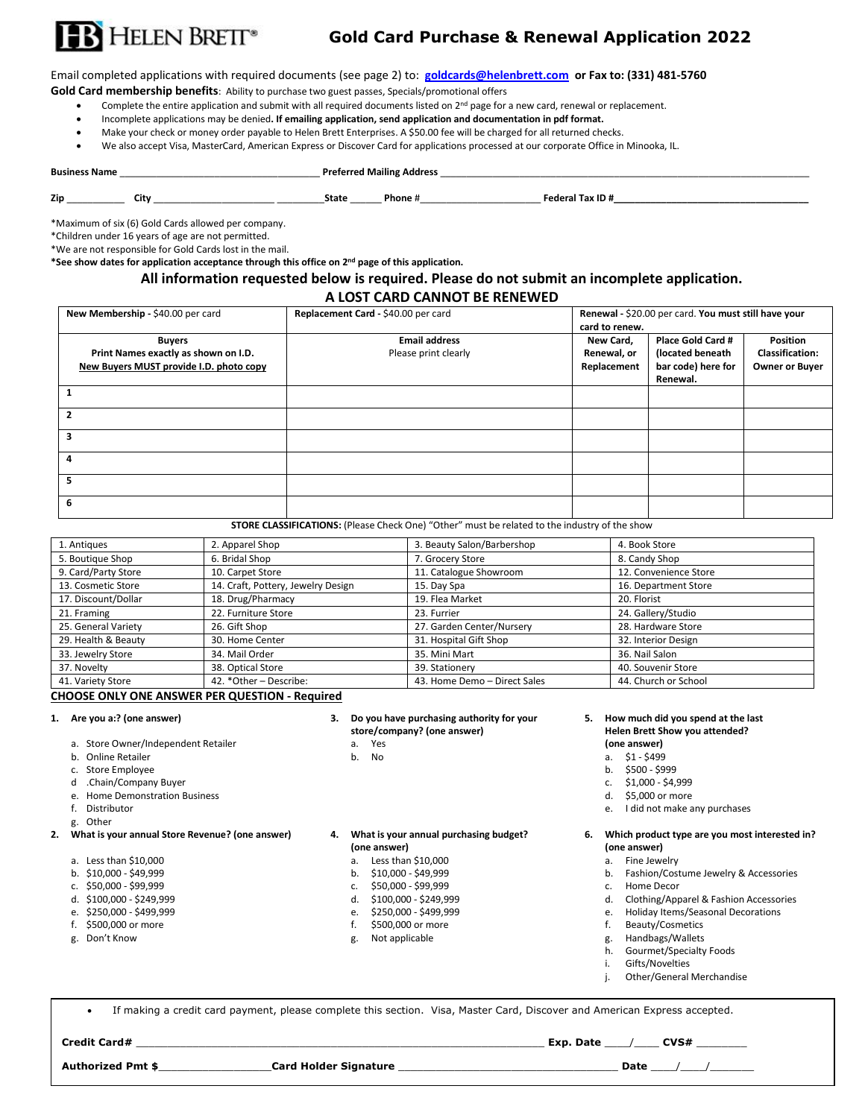

## **Gold Card Purchase & Renewal Application 2022**

Email completed applications with required documents (see page 2) to: **[goldcards@helenbrett.com](mailto:goldcards@helenbrett.com) or Fax to: (331) 481-5760**

**Gold Card membership benefits**: Ability to purchase two guest passes, Specials/promotional offers

- Complete the entire application and submit with all required documents listed on 2<sup>nd</sup> page for a new card, renewal or replacement.
- Incomplete applications may be denied**. If emailing application, send application and documentation in pdf format.**
- Make your check or money order payable to Helen Brett Enterprises. A \$50.00 fee will be charged for all returned checks.
- We also accept Visa, MasterCard, American Express or Discover Card for applications processed at our corporate Office in Minooka, IL.

**Business Name** \_\_\_\_\_\_\_\_\_\_\_\_\_\_\_\_\_\_\_\_\_\_\_\_\_\_\_\_\_\_\_\_\_\_\_\_\_\_ **Preferred Mailing Address** \_\_\_\_\_\_\_\_\_\_\_\_\_\_\_\_\_\_\_\_\_\_\_\_\_\_\_\_\_\_\_\_\_\_\_\_\_\_\_\_\_\_\_\_\_\_\_\_\_\_\_\_\_\_\_\_\_\_\_\_\_\_\_\_\_\_\_\_\_\_

**Zip** \_\_\_\_\_\_\_\_\_\_\_ **City** \_\_\_\_\_\_\_\_\_\_\_\_\_\_\_\_\_\_\_\_\_\_\_ \_\_\_\_\_\_\_\_\_**State** \_\_\_\_\_\_ **Phone** #\_\_\_\_\_\_\_\_\_\_\_\_\_\_\_\_\_\_\_\_\_\_\_ **Federal Tax ID #\_\_\_\_\_\_\_\_\_\_\_\_\_\_\_\_\_\_\_\_\_\_\_\_\_\_\_\_\_\_\_\_\_\_\_\_\_**

\*Maximum of six (6) Gold Cards allowed per company.

\*Children under 16 years of age are not permitted.

\*We are not responsible for Gold Cards lost in the mail.

**\*See show dates for application acceptance through this office on 2nd page of this application.** 

## **All information requested below is required. Please do not submit an incomplete application.**

## **A LOST CARD CANNOT BE RENEWED**

| New Membership - \$40.00 per card       | Replacement Card - \$40.00 per card | Renewal - \$20.00 per card. You must still have your |                    |                        |
|-----------------------------------------|-------------------------------------|------------------------------------------------------|--------------------|------------------------|
|                                         |                                     | card to renew.                                       |                    |                        |
| <b>Buyers</b>                           | <b>Email address</b>                | New Card,                                            | Place Gold Card #  | Position               |
| Print Names exactly as shown on I.D.    | Please print clearly                | Renewal, or                                          | (located beneath   | <b>Classification:</b> |
| New Buyers MUST provide I.D. photo copy |                                     | Replacement                                          | bar code) here for | <b>Owner or Buyer</b>  |
|                                         |                                     |                                                      | Renewal.           |                        |
|                                         |                                     |                                                      |                    |                        |
| 2                                       |                                     |                                                      |                    |                        |
| 3                                       |                                     |                                                      |                    |                        |
| 4                                       |                                     |                                                      |                    |                        |
| 5                                       |                                     |                                                      |                    |                        |
| 6                                       |                                     |                                                      |                    |                        |

**STORE CLASSIFICATIONS:** (Please Check One) "Other" must be related to the industry of the show

| 1. Antiques         | 2. Apparel Shop                    | 3. Beauty Salon/Barbershop   | 4. Book Store         |
|---------------------|------------------------------------|------------------------------|-----------------------|
| 5. Boutique Shop    | 6. Bridal Shop                     | 7. Grocery Store             | 8. Candy Shop         |
| 9. Card/Party Store | 10. Carpet Store                   | 11. Catalogue Showroom       | 12. Convenience Store |
| 13. Cosmetic Store  | 14. Craft, Pottery, Jewelry Design | 15. Day Spa                  | 16. Department Store  |
| 17. Discount/Dollar | 18. Drug/Pharmacy                  | 19. Flea Market              | 20. Florist           |
| 21. Framing         | 22. Furniture Store                | 23. Furrier                  | 24. Gallery/Studio    |
| 25. General Variety | 26. Gift Shop                      | 27. Garden Center/Nursery    | 28. Hardware Store    |
| 29. Health & Beauty | 30. Home Center                    | 31. Hospital Gift Shop       | 32. Interior Design   |
| 33. Jewelry Store   | 34. Mail Order                     | 35. Mini Mart                | 36. Nail Salon        |
| 37. Novelty         | 38. Optical Store                  | 39. Stationery               | 40. Souvenir Store    |
| 41. Variety Store   | 42. *Other - Describe:             | 43. Home Demo - Direct Sales | 44. Church or School  |

## **CHOOSE ONLY ONE ANSWER PER QUESTION - Required**

- a. Store Owner/Independent Retailer a. Yes **(one answer)**
- b. Online Retailer and the control of the b. No a. \$1 \$499
- 
- c. Store Employee b. \$500 \$999<br>d .Chain/Company Buyer can be a strong of the store of the state of the state of the strong of the strong of the strong strong can be strong strong can strong strong can strong strong stron d .Chain/Company Buyer
- 
- 
- g. Other

- a. Less than \$10,000 b. \$10,000 b. \$10,000 c \$49,999 b. \$10,000 c \$49,999
- 
- c. \$50,000 \$99,999 c. \$50,000 \$99,999
- 
- 
- f. \$500,000 or more
- 
- **store/company?** (one answer)
	-
	-

- **(one answer) (one answer)**
- 
- 
- 
- 
- 
- 

# **1. Are you a:? (one answer) 3. Do you have purchasing authority for your 5. How much did you spend at the last**

- 
- 
- 
- 
- 
- e. I did not make any purchases

- 
- b. Fashion/Costume Jewelry & Accessories<br>c. Home Decor
- 
- d. \$100,000 \$249,999 d. \$100,000 \$249,999 d. Clothing/Apparel & Fashion Accessories
- e. \$250,000 \$499,999 e. \$250,000 \$499,999 e. Holiday Items/Seasonal Decorations
	-
- g. Don't Know **g.** Not applicable g. Not applicable g. Handbags/Wallets
	- h. Gourmet/Specialty Foods
	- i. Gifts/Novelties
		-

• If making a credit card payment, please complete this section. Visa, Master Card, Discover and American Express accepted.

**Credit Card#** \_\_\_\_\_\_\_\_\_\_\_\_\_\_\_\_\_\_\_\_\_\_\_\_\_\_\_\_\_\_\_\_\_\_\_\_\_\_\_\_\_\_\_\_\_\_\_\_\_\_\_\_\_\_\_\_\_\_\_\_\_\_\_\_\_ **Exp. Date** \_\_\_\_/\_\_\_\_ **CVS#** \_\_\_\_\_\_\_\_

# **Authorized Pmt \$**\_\_\_\_\_\_\_\_\_\_\_\_\_\_\_\_\_\_**Card Holder Signature** \_\_\_\_\_\_\_\_\_\_\_\_\_\_\_\_\_\_\_\_\_\_\_\_\_\_\_\_\_\_\_\_\_\_\_ **Date** \_\_\_\_/\_\_\_\_/\_\_\_\_\_\_\_

- 
- j. Other/General Merchandise

e. Home Demonstration Business de la contraction Business de la contraction de la contraction de la contraction<br>1991 : de la contraction de la contraction de la contraction de la contraction de la contraction de la contra<br>

## **2. What is your annual Store Revenue? (one answer) 4. What is your annual purchasing budget? 6. Which product type are you most interested in?**